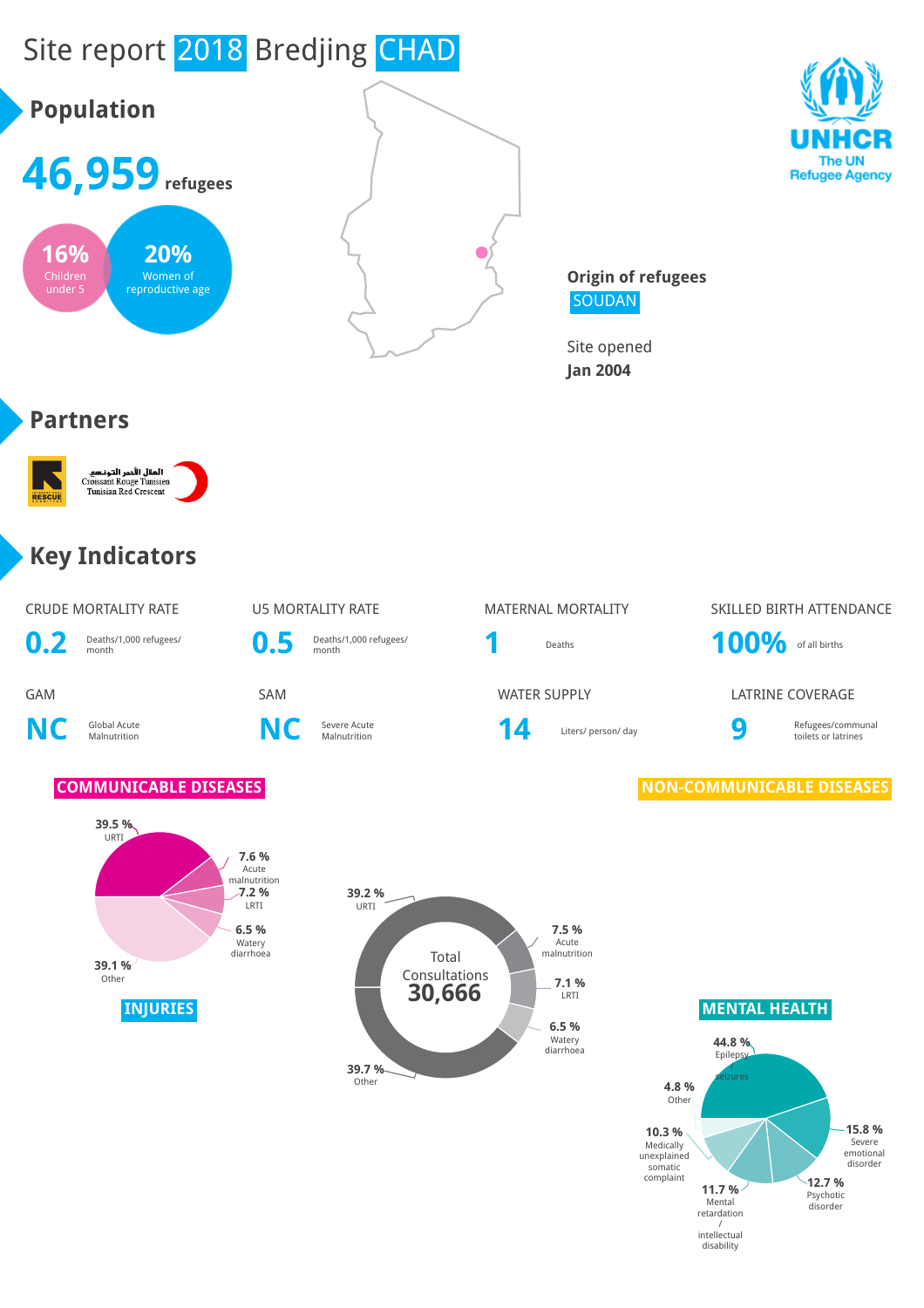

/ intellectual disability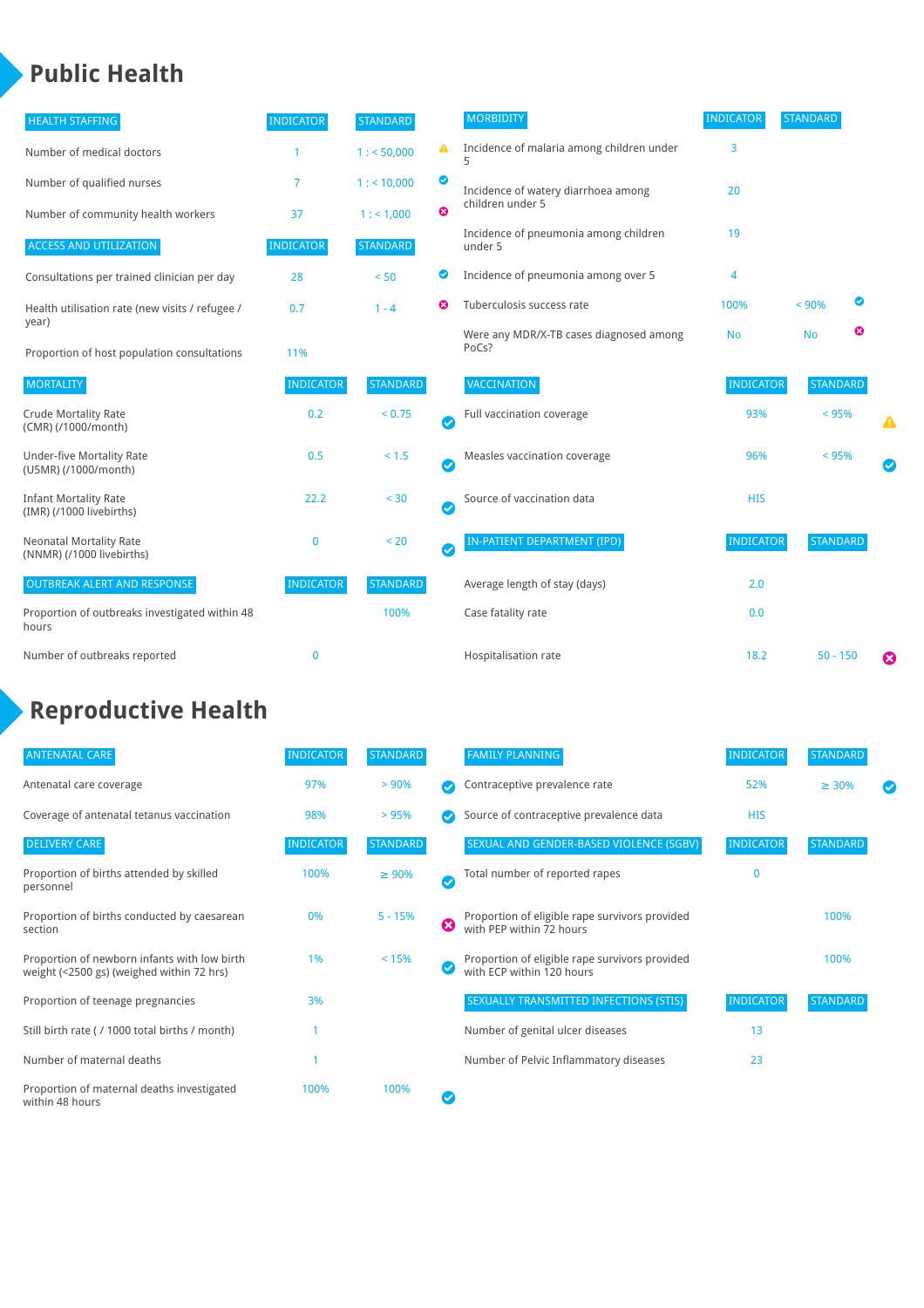## **Public Health**

| <b>HEALTH STAFFING</b>                                      | <b>INDICATOR</b> | <b>STANDARD</b> |           | <b>MORBIDITY</b>                                 | <b>INDICATOR</b> | <b>STANDARD</b> |   |   |
|-------------------------------------------------------------|------------------|-----------------|-----------|--------------------------------------------------|------------------|-----------------|---|---|
| Number of medical doctors                                   |                  | 1: 50,000       | ◭         | Incidence of malaria among children under        | 3                |                 |   |   |
| Number of qualified nurses                                  | 7                | $1:$ < 10,000   | ◙         | Incidence of watery diarrhoea among              | 20               |                 |   |   |
| Number of community health workers                          | 37               | 1: 1,000        | ೞ         | children under 5                                 |                  |                 |   |   |
| <b>ACCESS AND UTILIZATION</b>                               | <b>INDICATOR</b> | <b>STANDARD</b> |           | Incidence of pneumonia among children<br>under 5 | 19               |                 |   |   |
| Consultations per trained clinician per day                 | 28               | < 50            | Ø         | Incidence of pneumonia among over 5              | 4                |                 |   |   |
| Health utilisation rate (new visits / refugee /             | 0.7              | $1 - 4$         | Ø         | Tuberculosis success rate                        | 100%             | < 90%           | ◙ |   |
| year)<br>Proportion of host population consultations        | 11%              |                 |           | Were any MDR/X-TB cases diagnosed among<br>PoCs? | <b>No</b>        | <b>No</b>       | ☺ |   |
| <b>MORTALITY</b>                                            | <b>INDICATOR</b> | <b>STANDARD</b> |           | VACCINATION                                      | <b>INDICATOR</b> | <b>STANDARD</b> |   |   |
| <b>Crude Mortality Rate</b><br>(CMR) (/1000/month)          | 0.2              | < 0.75          | $\bullet$ | Full vaccination coverage                        | 93%              | $< 95\%$        |   | ▲ |
| <b>Under-five Mortality Rate</b><br>(U5MR) (/1000/month)    | 0.5              | $< 1.5$         | $\bullet$ | Measles vaccination coverage                     | 96%              | < 95%           |   |   |
| <b>Infant Mortality Rate</b><br>(IMR) (/1000 livebirths)    | 22.2             | < 30            | $\bullet$ | Source of vaccination data                       | <b>HIS</b>       |                 |   |   |
| <b>Neonatal Mortality Rate</b><br>(NNMR) (/1000 livebirths) | $\mathbf 0$      | < 20            | $\bullet$ | IN-PATIENT DEPARTMENT (IPD)                      | <b>INDICATOR</b> | <b>STANDARD</b> |   |   |
| <b>OUTBREAK ALERT AND RESPONSE</b>                          | <b>INDICATOR</b> | <b>STANDARD</b> |           | Average length of stay (days)                    | 2.0              |                 |   |   |
| Proportion of outbreaks investigated within 48<br>hours     |                  | 100%            |           | Case fatality rate                               | 0.0              |                 |   |   |
| Number of outbreaks reported                                | $\mathbf{0}$     |                 |           | Hospitalisation rate                             | 18.2             | $50 - 150$      |   | Ø |

# **Reproductive Health**

| <b>ANTENATAL CARE</b>                                                                     | <b>INDICATOR</b> | <b>STANDARD</b> |   | <b>FAMILY PLANNING</b>                                                      | <b>INDICATOR</b> | <b>STANDARD</b> |  |
|-------------------------------------------------------------------------------------------|------------------|-----------------|---|-----------------------------------------------------------------------------|------------------|-----------------|--|
| Antenatal care coverage                                                                   | 97%              | > 90%           |   | Contraceptive prevalence rate                                               | 52%              | $\geq 30\%$     |  |
| Coverage of antenatal tetanus vaccination                                                 | 98%              | > 95%           |   | Source of contraceptive prevalence data                                     | <b>HIS</b>       |                 |  |
| <b>DELIVERY CARE</b>                                                                      | <b>INDICATOR</b> | <b>STANDARD</b> |   | SEXUAL AND GENDER-BASED VIOLENCE (SGBV)                                     | <b>INDICATOR</b> | <b>STANDARD</b> |  |
| Proportion of births attended by skilled<br>personnel                                     | 100%             | $\geq 90\%$     |   | Total number of reported rapes                                              | 0                |                 |  |
| Proportion of births conducted by caesarean<br>section                                    | 0%               | $5 - 15%$       | ☺ | Proportion of eligible rape survivors provided<br>with PEP within 72 hours  |                  | 100%            |  |
| Proportion of newborn infants with low birth<br>weight (<2500 gs) (weighed within 72 hrs) | 1%               | < 15%           |   | Proportion of eligible rape survivors provided<br>with ECP within 120 hours |                  | 100%            |  |
| Proportion of teenage pregnancies                                                         | 3%               |                 |   | SEXUALLY TRANSMITTED INFECTIONS (STIS)                                      | <b>INDICATOR</b> | <b>STANDARD</b> |  |
| Still birth rate (/1000 total births / month)                                             |                  |                 |   | Number of genital ulcer diseases                                            | 13               |                 |  |
| Number of maternal deaths                                                                 |                  |                 |   | Number of Pelvic Inflammatory diseases                                      | 23               |                 |  |
| Proportion of maternal deaths investigated<br>within 48 hours                             | 100%             | 100%            |   |                                                                             |                  |                 |  |